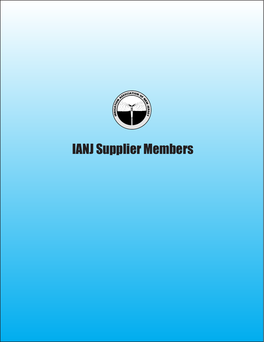

# IANJ Supplier Members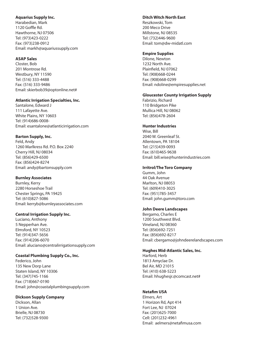## **Aquarius Supply Inc.**

Harabedian, Mark 1120 Goffle Rd. Hawthorne, NJ 07506 Tel: (973)423-0222 Fax: (973)238-0912 Email: markh@aquariussupply.com

## **ASAP Sales**

Closter, Bob 201 Montrose Rd. Westbury, NY 11590 Tel: (516) 333-4488 Fax: (516) 333-9486 Email: skierbob39@optonline.net#

#### **Atlantic Irrigation Specialties, Inc.**

Santalone, Edward J 111 Lafayette Ave. White Plains, NY 10603 Tel: (914)686-0008- Email: esantalone@atlanticirrigation.com

#### **Barton Supply, Inc.**

Feld, Andy 1260 Marlkress Rd. P.O. Box 2240 Cherry Hill, NJ 08034 Tel: (856)429-6500 Fax: (856)424-8274 Email: andy@bartonsupply.com

## **Burnley Associates**

Burnley, Kerry 2280 Horseshoe Trail Chester Springs, PA 19425 Tel: (610)827-5086 Email: kerryb@burnleyassociates.com

## **Central Irrigation Supply Inc.**

Luciano, Anthony 5 Nepperhan Ave. Elmsford, NY 10523 Tel: (914)347-5656 Fax: (914)206-6070 Email: aluciano@centralirrigationsupply.com

## **Coastal Plumbing Supply Co., Inc.**

Federico, John 135 New Dorp Lane Staten Island, NY 10306 Tel: (347)745-1166 Fax: (718)667-0190 Email: john@coastalplumbingsupply.com

## **Dickson Supply Company**

Dickson, Allan 1 Union Ave. Brielle, NJ 08730 Tel: (732)528-9300

#### **Ditch Witch North East**

Reszkowski, Tom 200 Meco Drive Millstone, NJ 08535 Tel: (732)446-9600 Email: tom@dw-midatl.com

#### **Empire Supplies**

Dilone, Newton 1232 North Ave. Plainfield, NJ 07062 Tel: (908)668-0244 Fax: (908)668-0299 Email: ndoline@empiresupplies.net

## **Gloucester County Irrigation Supply**

Fabrizio, Richard 110 Bridgeton Pike Mullica Hill, NJ 08062 Tel: (856)478-2604

#### **Hunter Industries**

Wise, Bill 2040 W. Greenleaf St. Allentown, PA 18104 Tel: (215)439-0093 Fax: (610)465-9638 Email: bill.wise@hunterindustries.com

#### **Irritrol/The Toro Company**

Gumm, John 44 Oak Avenue Marlton, NJ 08053 Tel: (609)410-3025 Fax: (951)785-3457 Email: john.gumm@toro.com

#### **John Deere Landscapes**

Bergamo, Charles E 1200 Southwest Blvd. Vineland, NJ 08360 Tel: (856)692-7251 Fax: (856)692-8217 Email: cbergamo@johndeerelandscapes.com

#### **Hughes Mid-Atlantic Sales, Inc.**

Harford, Herb 1813 Amyclae Dr. Bel Air, MD 21015 Tel: (410) 638-5223 Email: hhughesjr.@comcast.net#

## **Netafim USA**

Elmers, Art 1 Horizon Rd, Apt 414 Fort Lee, NJ 07024 Fax: (201)625-7000 Cell: (201)232-4961 Email: aelmers@netafimusa.com